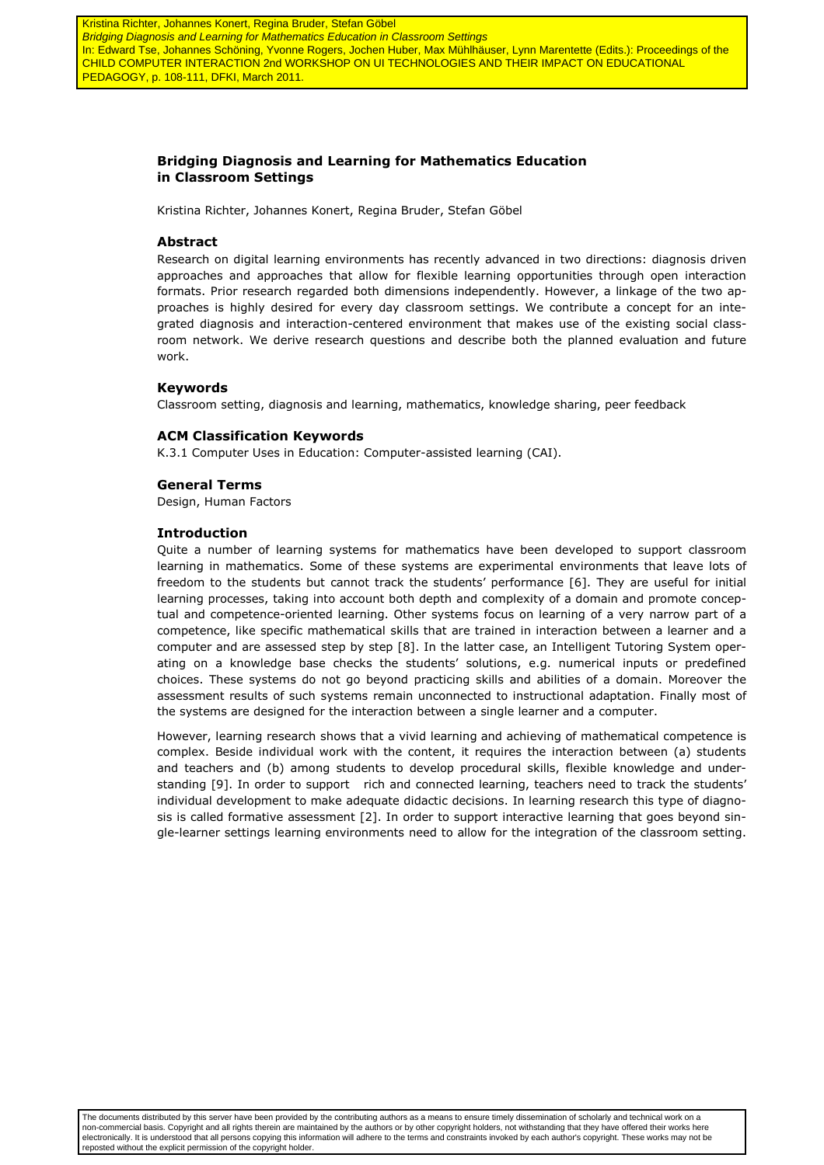Kristina Richter, Johannes Konert, Regina Bruder, Stefan Göbel Bridging Diagnosis and Learning for Mathematics Education in Classroom Settings In: Edward Tse, Johannes Schöning, Yvonne Rogers, Jochen Huber, Max Mühlhäuser, Lynn Marentette (Edits.): Proceedings of the CHILD COMPUTER INTERACTION 2nd WORKSHOP ON UI TECHNOLOGIES AND THEIR IMPACT ON EDUCATIONAL PEDAGOGY, p. 108-111, DFKI, March 2011.

# **Bridging Diagnosis and Learning for Mathematics Education in Classroom Settings**

Kristina Richter, Johannes Konert, Regina Bruder, Stefan Göbel

### **Abstract**

Research on digital learning environments has recently advanced in two directions: diagnosis driven approaches and approaches that allow for flexible learning opportunities through open interaction formats. Prior research regarded both dimensions independently. However, a linkage of the two approaches is highly desired for every day classroom settings. We contribute a concept for an integrated diagnosis and interaction-centered environment that makes use of the existing social classroom network. We derive research questions and describe both the planned evaluation and future work.

# **Keywords**

Classroom setting, diagnosis and learning, mathematics, knowledge sharing, peer feedback

# **ACM Classification Keywords**

K.3.1 Computer Uses in Education: Computer-assisted learning (CAI).

#### **General Terms**

Design, Human Factors

#### **Introduction**

Quite a number of learning systems for mathematics have been developed to support classroom learning in mathematics. Some of these systems are experimental environments that leave lots of freedom to the students but cannot track the students' performance [6]. They are useful for initial learning processes, taking into account both depth and complexity of a domain and promote conceptual and competence-oriented learning. Other systems focus on learning of a very narrow part of a competence, like specific mathematical skills that are trained in interaction between a learner and a computer and are assessed step by step [8]. In the latter case, an Intelligent Tutoring System operating on a knowledge base checks the students' solutions, e.g. numerical inputs or predefined choices. These systems do not go beyond practicing skills and abilities of a domain. Moreover the assessment results of such systems remain unconnected to instructional adaptation. Finally most of the systems are designed for the interaction between a single learner and a computer.

However, learning research shows that a vivid learning and achieving of mathematical competence is complex. Beside individual work with the content, it requires the interaction between (a) students and teachers and (b) among students to develop procedural skills, flexible knowledge and understanding [9]. In order to support rich and connected learning, teachers need to track the students' individual development to make adequate didactic decisions. In learning research this type of diagnosis is called formative assessment [2]. In order to support interactive learning that goes beyond single-learner settings learning environments need to allow for the integration of the classroom setting.

The documents distributed by this server have been provided by the contributing authors as a means to ensure timely dissemination of scholarly and technical work on a non-commercial basis. Copyright and all rights therein are maintained by the authors or by other copyright holders, not withstanding that they have offered their works here electronically. It is understood that all persons copying this information will adhere to the terms and constraints invoked by each author's copyright. These works may not be reposted without the explicit permission of the copyright holder.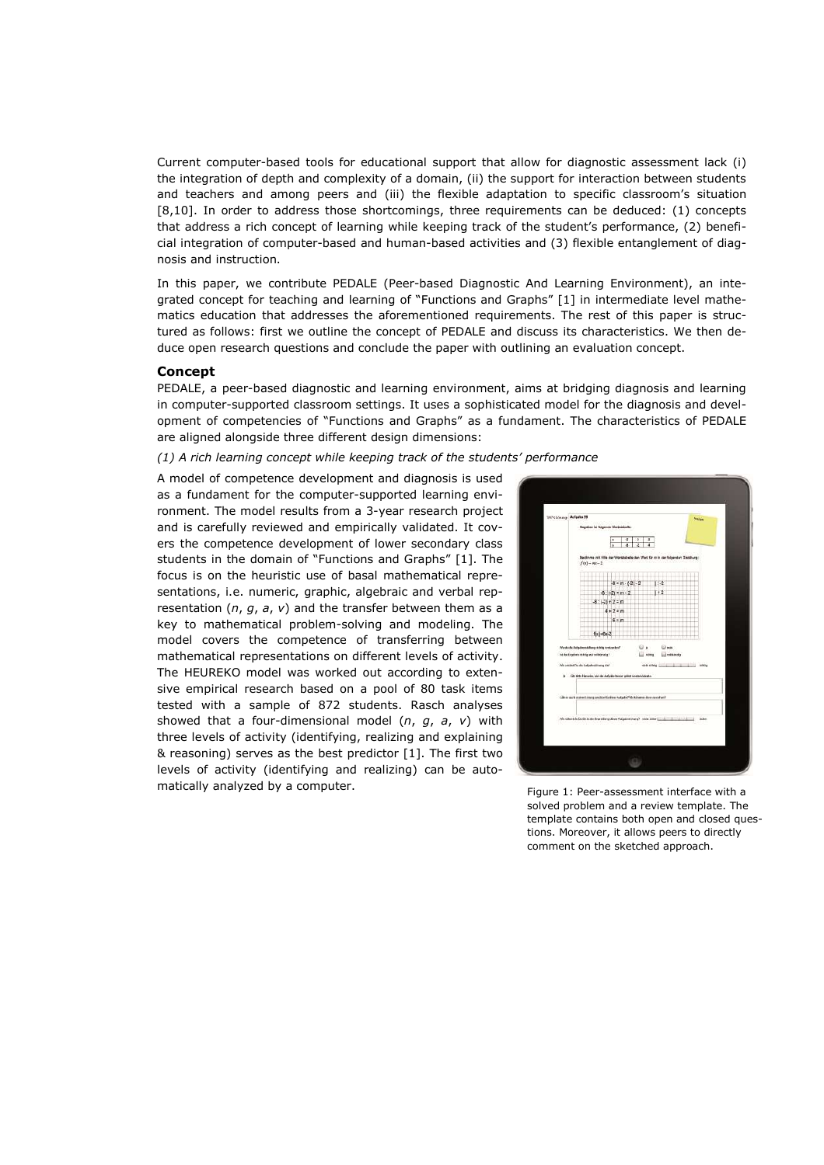Current computer-based tools for educational support that allow for diagnostic assessment lack (i) the integration of depth and complexity of a domain, (ii) the support for interaction between students and teachers and among peers and (iii) the flexible adaptation to specific classroom's situation [8,10]. In order to address those shortcomings, three requirements can be deduced: (1) concepts that address a rich concept of learning while keeping track of the student's performance, (2) beneficial integration of computer-based and human-based activities and (3) flexible entanglement of diagnosis and instruction.

In this paper, we contribute PEDALE (Peer-based Diagnostic And Learning Environment), an integrated concept for teaching and learning of "Functions and Graphs" [1] in intermediate level mathematics education that addresses the aforementioned requirements. The rest of this paper is structured as follows: first we outline the concept of PEDALE and discuss its characteristics. We then deduce open research questions and conclude the paper with outlining an evaluation concept.

# **Concept**

PEDALE, a peer-based diagnostic and learning environment, aims at bridging diagnosis and learning in computer-supported classroom settings. It uses a sophisticated model for the diagnosis and development of competencies of "Functions and Graphs" as a fundament. The characteristics of PEDALE are aligned alongside three different design dimensions:

### *(1) A rich learning concept while keeping track of the students' performance*

A model of competence development and diagnosis is used as a fundament for the computer-supported learning environment. The model results from a 3-year research project and is carefully reviewed and empirically validated. It covers the competence development of lower secondary class students in the domain of "Functions and Graphs" [1]. The focus is on the heuristic use of basal mathematical representations, i.e. numeric, graphic, algebraic and verbal representation (*n*, *g*, *a*, *v*) and the transfer between them as a key to mathematical problem-solving and modeling. The model covers the competence of transferring between mathematical representations on different levels of activity. The HEUREKO model was worked out according to extensive empirical research based on a pool of 80 task items tested with a sample of 872 students. Rasch analyses showed that a four-dimensional model (*n*, *g*, *a*, *v*) with three levels of activity (identifying, realizing and explaining & reasoning) serves as the best predictor [1]. The first two levels of activity (identifying and realizing) can be automatically analyzed by a computer.<br>Figure 1: Peer-assessment interface with a



solved problem and a review template. The template contains both open and closed questions. Moreover, it allows peers to directly comment on the sketched approach.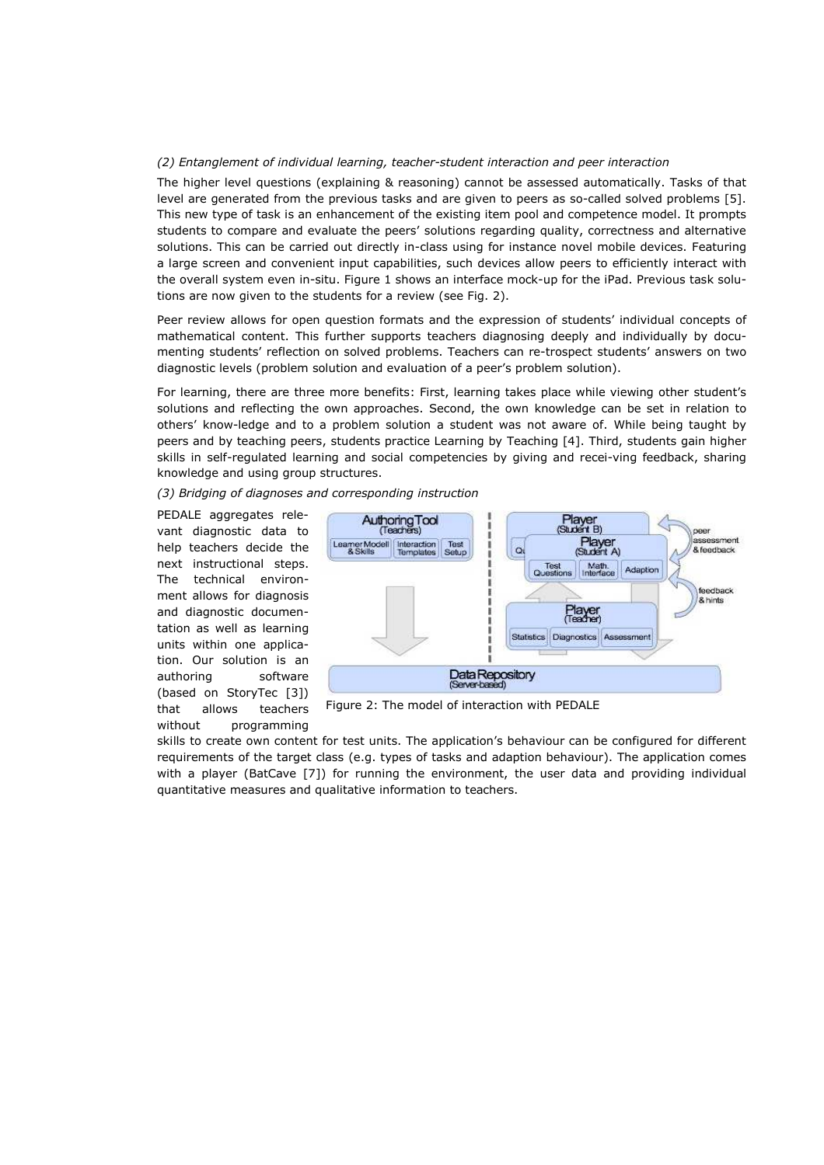# *(2) Entanglement of individual learning, teacher-student interaction and peer interaction*

The higher level questions (explaining & reasoning) cannot be assessed automatically. Tasks of that level are generated from the previous tasks and are given to peers as so-called solved problems [5]. This new type of task is an enhancement of the existing item pool and competence model. It prompts students to compare and evaluate the peers' solutions regarding quality, correctness and alternative solutions. This can be carried out directly in-class using for instance novel mobile devices. Featuring a large screen and convenient input capabilities, such devices allow peers to efficiently interact with the overall system even in-situ. Figure 1 shows an interface mock-up for the iPad. Previous task solutions are now given to the students for a review (see Fig. 2).

Peer review allows for open question formats and the expression of students' individual concepts of mathematical content. This further supports teachers diagnosing deeply and individually by documenting students' reflection on solved problems. Teachers can re-trospect students' answers on two diagnostic levels (problem solution and evaluation of a peer's problem solution).

For learning, there are three more benefits: First, learning takes place while viewing other student's solutions and reflecting the own approaches. Second, the own knowledge can be set in relation to others' know-ledge and to a problem solution a student was not aware of. While being taught by peers and by teaching peers, students practice Learning by Teaching [4]. Third, students gain higher skills in self-regulated learning and social competencies by giving and recei-ving feedback, sharing knowledge and using group structures.

*(3) Bridging of diagnoses and corresponding instruction* 

PEDALE aggregates relevant diagnostic data to help teachers decide the next instructional steps. The technical environment allows for diagnosis and diagnostic documentation as well as learning units within one application. Our solution is an authoring software (based on StoryTec [3]) that allows teachers without programming



Figure 2: The model of interaction with PEDALE

skills to create own content for test units. The application's behaviour can be configured for different requirements of the target class (e.g. types of tasks and adaption behaviour). The application comes with a player (BatCave [7]) for running the environment, the user data and providing individual quantitative measures and qualitative information to teachers.